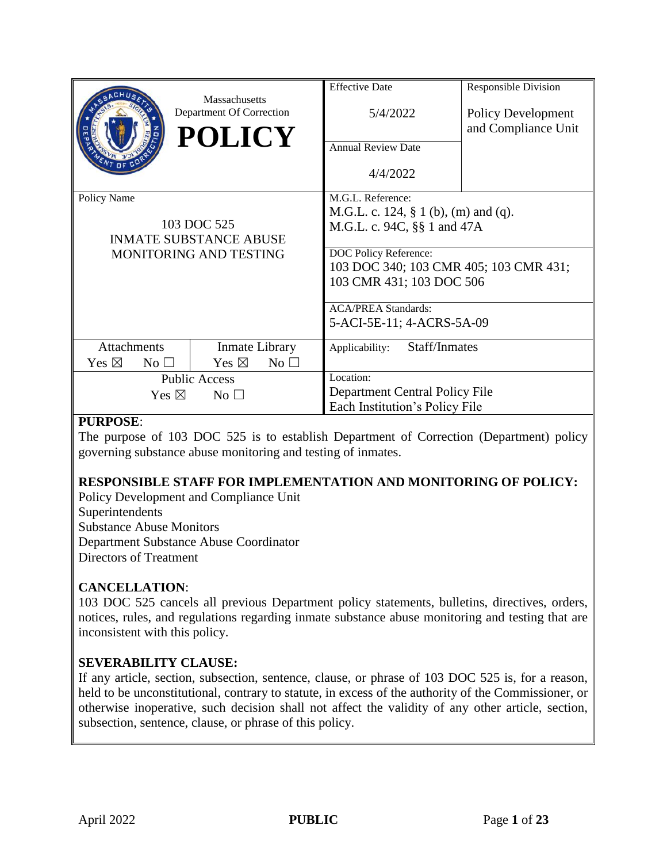|                                    | Massachusetts                             | <b>Effective Date</b>                   | <b>Responsible Division</b>               |
|------------------------------------|-------------------------------------------|-----------------------------------------|-------------------------------------------|
|                                    | Department Of Correction<br><b>POLICY</b> | 5/4/2022                                | Policy Development<br>and Compliance Unit |
|                                    |                                           | <b>Annual Review Date</b>               |                                           |
|                                    |                                           | 4/4/2022                                |                                           |
| Policy Name                        |                                           | M.G.L. Reference:                       |                                           |
| 103 DOC 525                        |                                           | M.G.L. c. 124, $\S$ 1 (b), (m) and (q). |                                           |
|                                    |                                           | M.G.L. c. 94C, §§ 1 and 47A             |                                           |
| <b>INMATE SUBSTANCE ABUSE</b>      |                                           |                                         |                                           |
| MONITORING AND TESTING             |                                           | DOC Policy Reference:                   |                                           |
|                                    |                                           | 103 DOC 340; 103 CMR 405; 103 CMR 431;  |                                           |
|                                    |                                           | 103 CMR 431; 103 DOC 506                |                                           |
|                                    |                                           | <b>ACA/PREA Standards:</b>              |                                           |
|                                    |                                           | 5-ACI-5E-11; 4-ACRS-5A-09               |                                           |
| Attachments                        | Inmate Library                            | Staff/Inmates<br>Applicability:         |                                           |
| Yes $\boxtimes$<br>$No$ $\square$  | Yes $\boxtimes$<br>$No \square$           |                                         |                                           |
| <b>Public Access</b>               |                                           | Location:                               |                                           |
| Yes $\boxtimes$<br>No <sub>1</sub> |                                           | Department Central Policy File          |                                           |
|                                    |                                           | Each Institution's Policy File          |                                           |

#### **PURPOSE**:

The purpose of 103 DOC 525 is to establish Department of Correction (Department) policy governing substance abuse monitoring and testing of inmates.

## **RESPONSIBLE STAFF FOR IMPLEMENTATION AND MONITORING OF POLICY:**

Policy Development and Compliance Unit Superintendents Substance Abuse Monitors Department Substance Abuse Coordinator Directors of Treatment

#### **CANCELLATION**:

103 DOC 525 cancels all previous Department policy statements, bulletins, directives, orders, notices, rules, and regulations regarding inmate substance abuse monitoring and testing that are inconsistent with this policy.

#### **SEVERABILITY CLAUSE:**

If any article, section, subsection, sentence, clause, or phrase of 103 DOC 525 is, for a reason, held to be unconstitutional, contrary to statute, in excess of the authority of the Commissioner, or otherwise inoperative, such decision shall not affect the validity of any other article, section, subsection, sentence, clause, or phrase of this policy.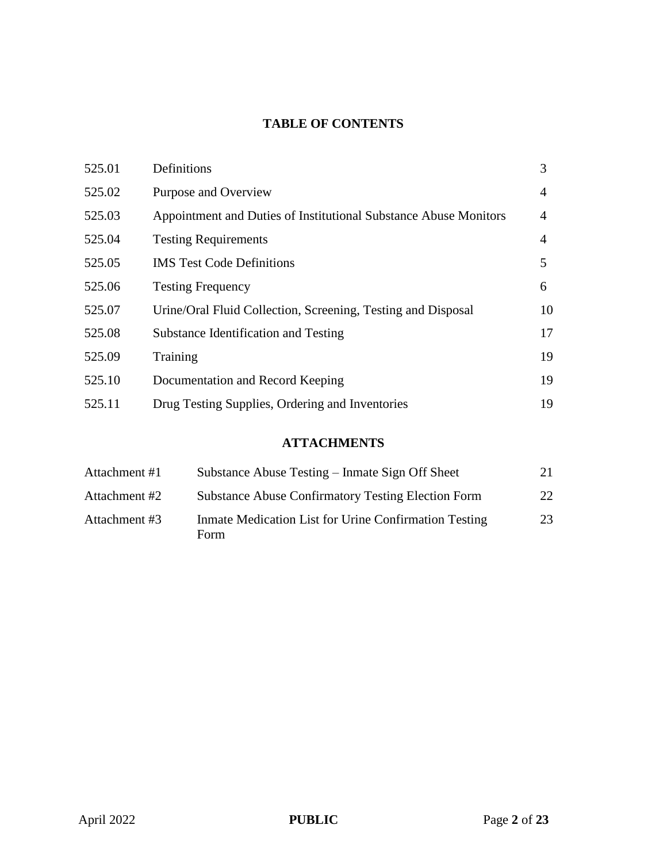## **TABLE OF CONTENTS**

| 525.01 | Definitions                                                      | 3  |
|--------|------------------------------------------------------------------|----|
| 525.02 | Purpose and Overview                                             | 4  |
| 525.03 | Appointment and Duties of Institutional Substance Abuse Monitors | 4  |
| 525.04 | <b>Testing Requirements</b>                                      | 4  |
| 525.05 | <b>IMS</b> Test Code Definitions                                 | 5  |
| 525.06 | <b>Testing Frequency</b>                                         | 6  |
| 525.07 | Urine/Oral Fluid Collection, Screening, Testing and Disposal     | 10 |
| 525.08 | Substance Identification and Testing                             | 17 |
| 525.09 | Training                                                         | 19 |
| 525.10 | Documentation and Record Keeping                                 | 19 |
| 525.11 | Drug Testing Supplies, Ordering and Inventories                  | 19 |

# **ATTACHMENTS**

| Attachment #1 | Substance Abuse Testing – Inmate Sign Off Sheet               | 21 |
|---------------|---------------------------------------------------------------|----|
| Attachment #2 | <b>Substance Abuse Confirmatory Testing Election Form</b>     | 22 |
| Attachment #3 | Inmate Medication List for Urine Confirmation Testing<br>Form | 23 |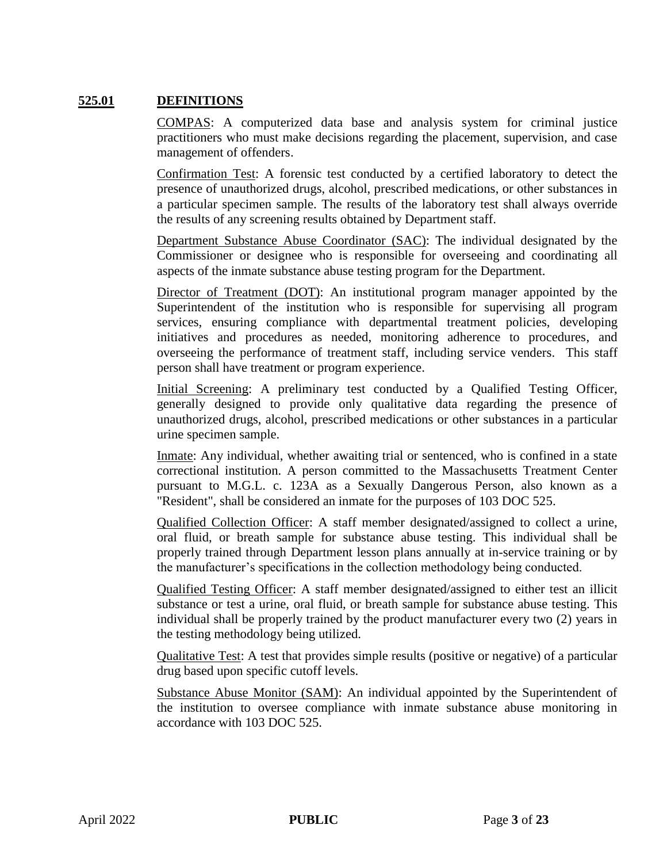#### **525.01 DEFINITIONS**

COMPAS: A computerized data base and analysis system for criminal justice practitioners who must make decisions regarding the placement, supervision, and case management of offenders.

Confirmation Test: A forensic test conducted by a certified laboratory to detect the presence of unauthorized drugs, alcohol, prescribed medications, or other substances in a particular specimen sample. The results of the laboratory test shall always override the results of any screening results obtained by Department staff.

Department Substance Abuse Coordinator (SAC): The individual designated by the Commissioner or designee who is responsible for overseeing and coordinating all aspects of the inmate substance abuse testing program for the Department.

Director of Treatment (DOT): An institutional program manager appointed by the Superintendent of the institution who is responsible for supervising all program services, ensuring compliance with departmental treatment policies, developing initiatives and procedures as needed, monitoring adherence to procedures, and overseeing the performance of treatment staff, including service venders. This staff person shall have treatment or program experience.

Initial Screening: A preliminary test conducted by a Qualified Testing Officer, generally designed to provide only qualitative data regarding the presence of unauthorized drugs, alcohol, prescribed medications or other substances in a particular urine specimen sample.

Inmate: Any individual, whether awaiting trial or sentenced, who is confined in a state correctional institution. A person committed to the Massachusetts Treatment Center pursuant to M.G.L. c. 123A as a Sexually Dangerous Person, also known as a "Resident", shall be considered an inmate for the purposes of 103 DOC 525.

Qualified Collection Officer: A staff member designated/assigned to collect a urine, oral fluid, or breath sample for substance abuse testing. This individual shall be properly trained through Department lesson plans annually at in-service training or by the manufacturer's specifications in the collection methodology being conducted.

Qualified Testing Officer: A staff member designated/assigned to either test an illicit substance or test a urine, oral fluid, or breath sample for substance abuse testing. This individual shall be properly trained by the product manufacturer every two (2) years in the testing methodology being utilized.

Qualitative Test: A test that provides simple results (positive or negative) of a particular drug based upon specific cutoff levels.

Substance Abuse Monitor (SAM): An individual appointed by the Superintendent of the institution to oversee compliance with inmate substance abuse monitoring in accordance with 103 DOC 525.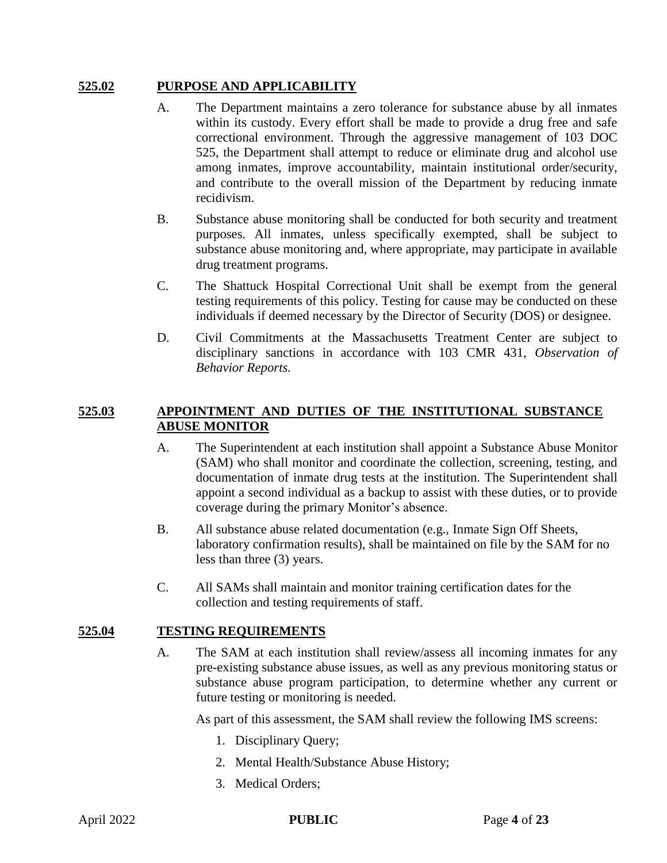#### **525.02 PURPOSE AND APPLICABILITY**

- A. The Department maintains a zero tolerance for substance abuse by all inmates within its custody. Every effort shall be made to provide a drug free and safe correctional environment. Through the aggressive management of 103 DOC 525, the Department shall attempt to reduce or eliminate drug and alcohol use among inmates, improve accountability, maintain institutional order/security, and contribute to the overall mission of the Department by reducing inmate recidivism.
- B. Substance abuse monitoring shall be conducted for both security and treatment purposes. All inmates, unless specifically exempted, shall be subject to substance abuse monitoring and, where appropriate, may participate in available drug treatment programs.
- C. The Shattuck Hospital Correctional Unit shall be exempt from the general testing requirements of this policy. Testing for cause may be conducted on these individuals if deemed necessary by the Director of Security (DOS) or designee.
- D. Civil Commitments at the Massachusetts Treatment Center are subject to disciplinary sanctions in accordance with 103 CMR 431, *Observation of Behavior Reports.*

#### **525.03 APPOINTMENT AND DUTIES OF THE INSTITUTIONAL SUBSTANCE ABUSE MONITOR**

- A. The Superintendent at each institution shall appoint a Substance Abuse Monitor (SAM) who shall monitor and coordinate the collection, screening, testing, and documentation of inmate drug tests at the institution. The Superintendent shall appoint a second individual as a backup to assist with these duties, or to provide coverage during the primary Monitor's absence.
- B. All substance abuse related documentation (e.g., Inmate Sign Off Sheets, laboratory confirmation results), shall be maintained on file by the SAM for no less than three (3) years.
- C. All SAMs shall maintain and monitor training certification dates for the collection and testing requirements of staff.

#### **525.04 TESTING REQUIREMENTS**

A. The SAM at each institution shall review/assess all incoming inmates for any pre-existing substance abuse issues, as well as any previous monitoring status or substance abuse program participation, to determine whether any current or future testing or monitoring is needed.

As part of this assessment, the SAM shall review the following IMS screens:

- 1. Disciplinary Query;
- 2. Mental Health/Substance Abuse History;
- 3. Medical Orders;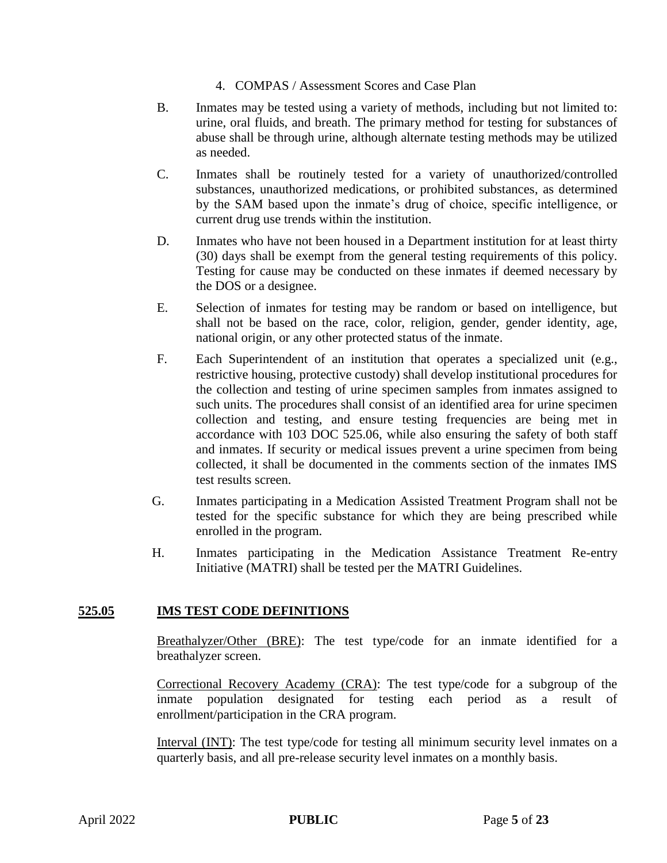- 4. COMPAS / Assessment Scores and Case Plan
- B. Inmates may be tested using a variety of methods, including but not limited to: urine, oral fluids, and breath. The primary method for testing for substances of abuse shall be through urine, although alternate testing methods may be utilized as needed.
- C. Inmates shall be routinely tested for a variety of unauthorized/controlled substances, unauthorized medications, or prohibited substances, as determined by the SAM based upon the inmate's drug of choice, specific intelligence, or current drug use trends within the institution.
- D. Inmates who have not been housed in a Department institution for at least thirty (30) days shall be exempt from the general testing requirements of this policy. Testing for cause may be conducted on these inmates if deemed necessary by the DOS or a designee.
- E. Selection of inmates for testing may be random or based on intelligence, but shall not be based on the race, color, religion, gender, gender identity, age, national origin, or any other protected status of the inmate.
- F. Each Superintendent of an institution that operates a specialized unit (e.g., restrictive housing, protective custody) shall develop institutional procedures for the collection and testing of urine specimen samples from inmates assigned to such units. The procedures shall consist of an identified area for urine specimen collection and testing, and ensure testing frequencies are being met in accordance with 103 DOC 525.06, while also ensuring the safety of both staff and inmates. If security or medical issues prevent a urine specimen from being collected, it shall be documented in the comments section of the inmates IMS test results screen.
- G. Inmates participating in a Medication Assisted Treatment Program shall not be tested for the specific substance for which they are being prescribed while enrolled in the program.
- H. Inmates participating in the Medication Assistance Treatment Re-entry Initiative (MATRI) shall be tested per the MATRI Guidelines.

#### **525.05 IMS TEST CODE DEFINITIONS**

Breathalyzer/Other (BRE): The test type/code for an inmate identified for a breathalyzer screen.

Correctional Recovery Academy (CRA): The test type/code for a subgroup of the inmate population designated for testing each period as a result of enrollment/participation in the CRA program.

Interval (INT): The test type/code for testing all minimum security level inmates on a quarterly basis, and all pre-release security level inmates on a monthly basis.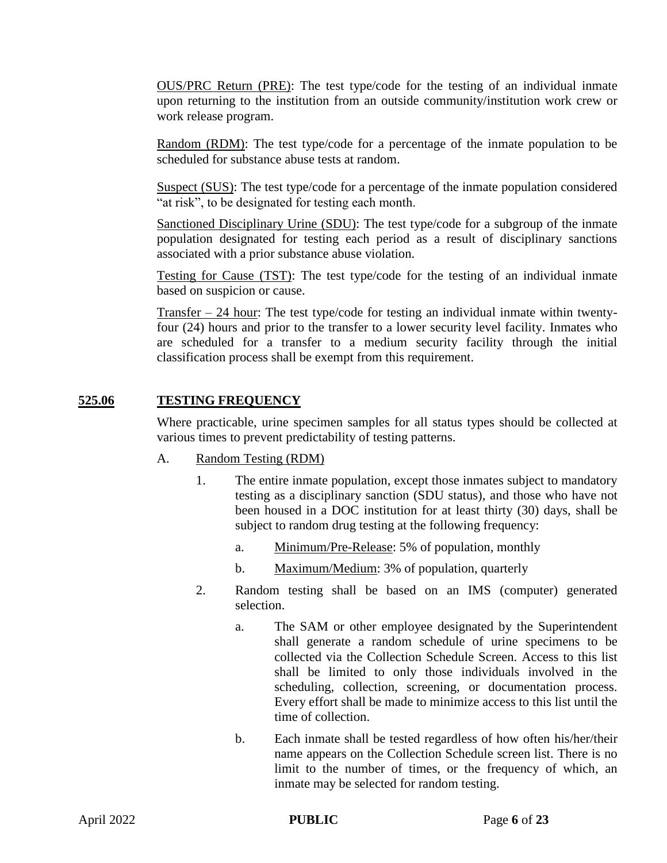OUS/PRC Return (PRE): The test type/code for the testing of an individual inmate upon returning to the institution from an outside community/institution work crew or work release program.

Random (RDM): The test type/code for a percentage of the inmate population to be scheduled for substance abuse tests at random.

Suspect (SUS): The test type/code for a percentage of the inmate population considered "at risk", to be designated for testing each month.

Sanctioned Disciplinary Urine (SDU): The test type/code for a subgroup of the inmate population designated for testing each period as a result of disciplinary sanctions associated with a prior substance abuse violation.

Testing for Cause (TST): The test type/code for the testing of an individual inmate based on suspicion or cause.

Transfer – 24 hour: The test type/code for testing an individual inmate within twentyfour (24) hours and prior to the transfer to a lower security level facility. Inmates who are scheduled for a transfer to a medium security facility through the initial classification process shall be exempt from this requirement.

#### **525.06 TESTING FREQUENCY**

Where practicable, urine specimen samples for all status types should be collected at various times to prevent predictability of testing patterns.

- A. Random Testing (RDM)
	- 1. The entire inmate population, except those inmates subject to mandatory testing as a disciplinary sanction (SDU status), and those who have not been housed in a DOC institution for at least thirty (30) days, shall be subject to random drug testing at the following frequency:
		- a. Minimum/Pre-Release: 5% of population, monthly
		- b. Maximum/Medium: 3% of population, quarterly
	- 2. Random testing shall be based on an IMS (computer) generated selection.
		- a. The SAM or other employee designated by the Superintendent shall generate a random schedule of urine specimens to be collected via the Collection Schedule Screen. Access to this list shall be limited to only those individuals involved in the scheduling, collection, screening, or documentation process. Every effort shall be made to minimize access to this list until the time of collection.
		- b. Each inmate shall be tested regardless of how often his/her/their name appears on the Collection Schedule screen list. There is no limit to the number of times, or the frequency of which, an inmate may be selected for random testing.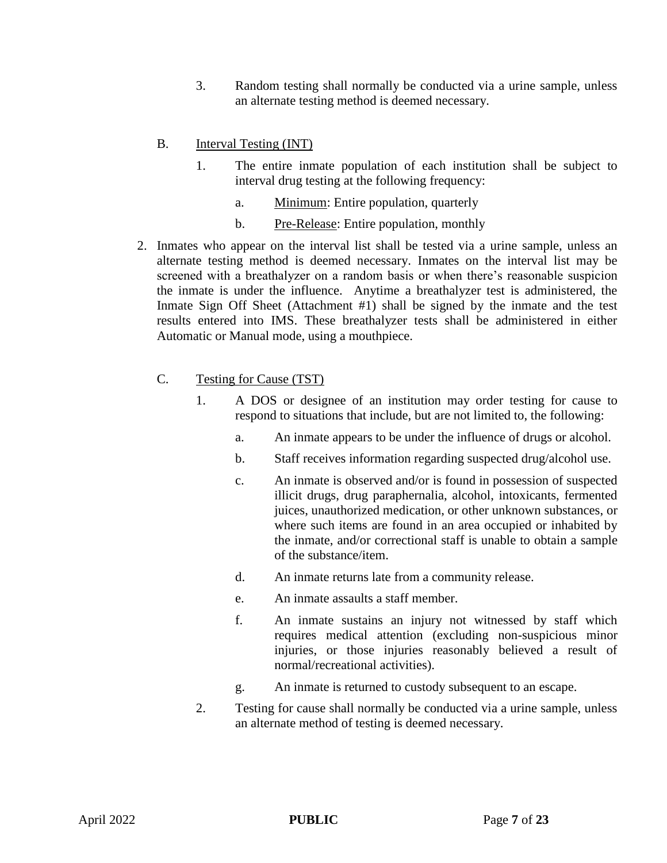3. Random testing shall normally be conducted via a urine sample, unless an alternate testing method is deemed necessary.

#### B. Interval Testing (INT)

- 1. The entire inmate population of each institution shall be subject to interval drug testing at the following frequency:
	- a. Minimum: Entire population, quarterly
	- b. Pre-Release: Entire population, monthly
- 2. Inmates who appear on the interval list shall be tested via a urine sample, unless an alternate testing method is deemed necessary. Inmates on the interval list may be screened with a breathalyzer on a random basis or when there's reasonable suspicion the inmate is under the influence. Anytime a breathalyzer test is administered, the Inmate Sign Off Sheet (Attachment #1) shall be signed by the inmate and the test results entered into IMS. These breathalyzer tests shall be administered in either Automatic or Manual mode, using a mouthpiece.

#### C. Testing for Cause (TST)

- 1. A DOS or designee of an institution may order testing for cause to respond to situations that include, but are not limited to, the following:
	- a. An inmate appears to be under the influence of drugs or alcohol.
	- b. Staff receives information regarding suspected drug/alcohol use.
	- c. An inmate is observed and/or is found in possession of suspected illicit drugs, drug paraphernalia, alcohol, intoxicants, fermented juices, unauthorized medication, or other unknown substances, or where such items are found in an area occupied or inhabited by the inmate, and/or correctional staff is unable to obtain a sample of the substance/item.
	- d. An inmate returns late from a community release.
	- e. An inmate assaults a staff member.
	- f. An inmate sustains an injury not witnessed by staff which requires medical attention (excluding non-suspicious minor injuries, or those injuries reasonably believed a result of normal/recreational activities).
	- g. An inmate is returned to custody subsequent to an escape.
- 2. Testing for cause shall normally be conducted via a urine sample, unless an alternate method of testing is deemed necessary.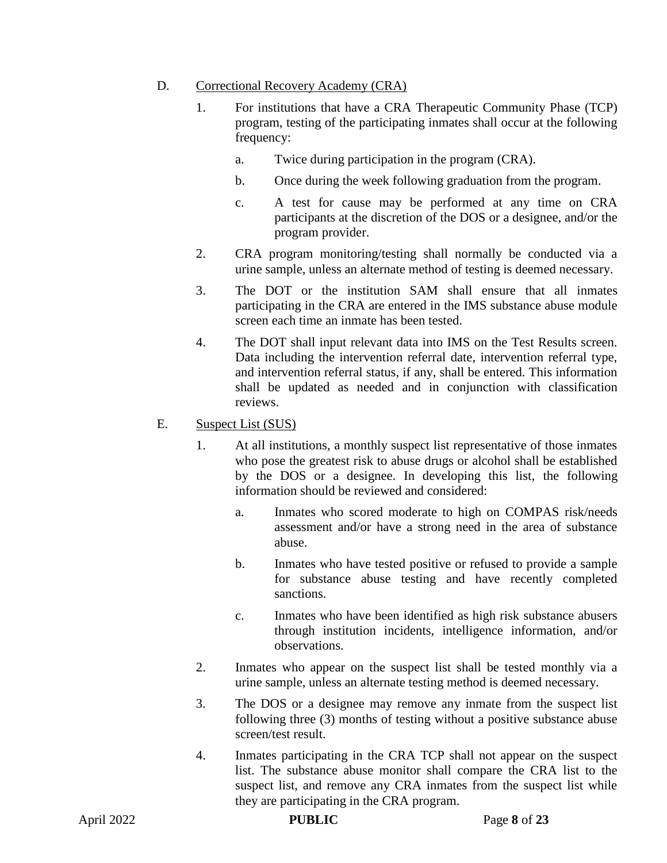#### D. Correctional Recovery Academy (CRA)

- 1. For institutions that have a CRA Therapeutic Community Phase (TCP) program, testing of the participating inmates shall occur at the following frequency:
	- a. Twice during participation in the program (CRA).
	- b. Once during the week following graduation from the program.
	- c. A test for cause may be performed at any time on CRA participants at the discretion of the DOS or a designee, and/or the program provider.
- 2. CRA program monitoring/testing shall normally be conducted via a urine sample, unless an alternate method of testing is deemed necessary.
- 3. The DOT or the institution SAM shall ensure that all inmates participating in the CRA are entered in the IMS substance abuse module screen each time an inmate has been tested.
- 4. The DOT shall input relevant data into IMS on the Test Results screen. Data including the intervention referral date, intervention referral type, and intervention referral status, if any, shall be entered. This information shall be updated as needed and in conjunction with classification reviews.
- E. Suspect List (SUS)
	- 1. At all institutions, a monthly suspect list representative of those inmates who pose the greatest risk to abuse drugs or alcohol shall be established by the DOS or a designee. In developing this list, the following information should be reviewed and considered:
		- a. Inmates who scored moderate to high on COMPAS risk/needs assessment and/or have a strong need in the area of substance abuse.
		- b. Inmates who have tested positive or refused to provide a sample for substance abuse testing and have recently completed sanctions.
		- c. Inmates who have been identified as high risk substance abusers through institution incidents, intelligence information, and/or observations.
	- 2. Inmates who appear on the suspect list shall be tested monthly via a urine sample, unless an alternate testing method is deemed necessary.
	- 3. The DOS or a designee may remove any inmate from the suspect list following three (3) months of testing without a positive substance abuse screen/test result.
	- 4. Inmates participating in the CRA TCP shall not appear on the suspect list. The substance abuse monitor shall compare the CRA list to the suspect list, and remove any CRA inmates from the suspect list while they are participating in the CRA program.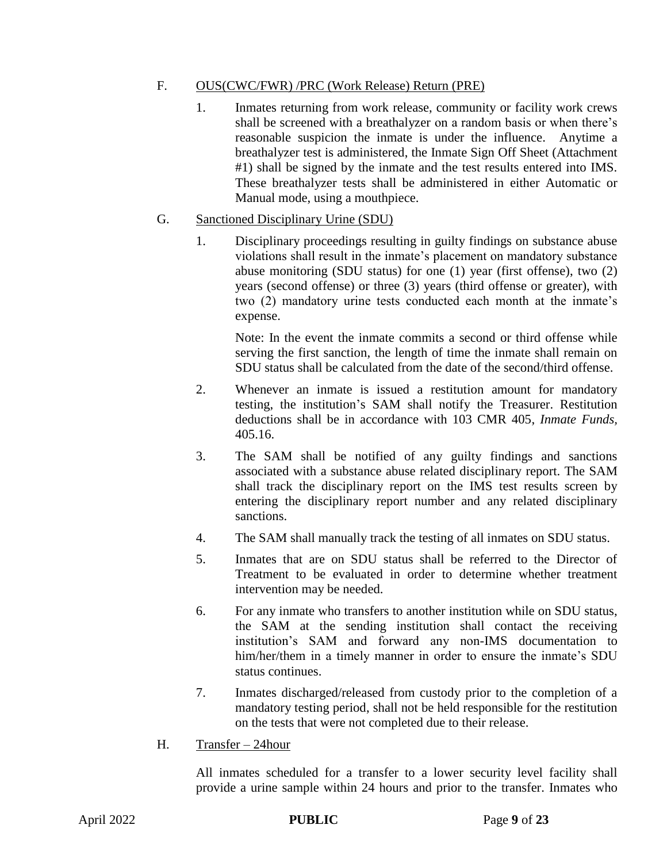#### F. OUS(CWC/FWR) /PRC (Work Release) Return (PRE)

1. Inmates returning from work release, community or facility work crews shall be screened with a breathalyzer on a random basis or when there's reasonable suspicion the inmate is under the influence. Anytime a breathalyzer test is administered, the Inmate Sign Off Sheet (Attachment #1) shall be signed by the inmate and the test results entered into IMS. These breathalyzer tests shall be administered in either Automatic or Manual mode, using a mouthpiece.

#### G. Sanctioned Disciplinary Urine (SDU)

1. Disciplinary proceedings resulting in guilty findings on substance abuse violations shall result in the inmate's placement on mandatory substance abuse monitoring (SDU status) for one (1) year (first offense), two (2) years (second offense) or three (3) years (third offense or greater), with two (2) mandatory urine tests conducted each month at the inmate's expense.

Note: In the event the inmate commits a second or third offense while serving the first sanction, the length of time the inmate shall remain on SDU status shall be calculated from the date of the second/third offense.

- 2. Whenever an inmate is issued a restitution amount for mandatory testing, the institution's SAM shall notify the Treasurer. Restitution deductions shall be in accordance with 103 CMR 405, *Inmate Funds,*  405.16.
- 3. The SAM shall be notified of any guilty findings and sanctions associated with a substance abuse related disciplinary report. The SAM shall track the disciplinary report on the IMS test results screen by entering the disciplinary report number and any related disciplinary sanctions.
- 4. The SAM shall manually track the testing of all inmates on SDU status.
- 5. Inmates that are on SDU status shall be referred to the Director of Treatment to be evaluated in order to determine whether treatment intervention may be needed.
- 6. For any inmate who transfers to another institution while on SDU status, the SAM at the sending institution shall contact the receiving institution's SAM and forward any non-IMS documentation to him/her/them in a timely manner in order to ensure the inmate's SDU status continues.
- 7. Inmates discharged/released from custody prior to the completion of a mandatory testing period, shall not be held responsible for the restitution on the tests that were not completed due to their release.
- H. Transfer 24hour

All inmates scheduled for a transfer to a lower security level facility shall provide a urine sample within 24 hours and prior to the transfer. Inmates who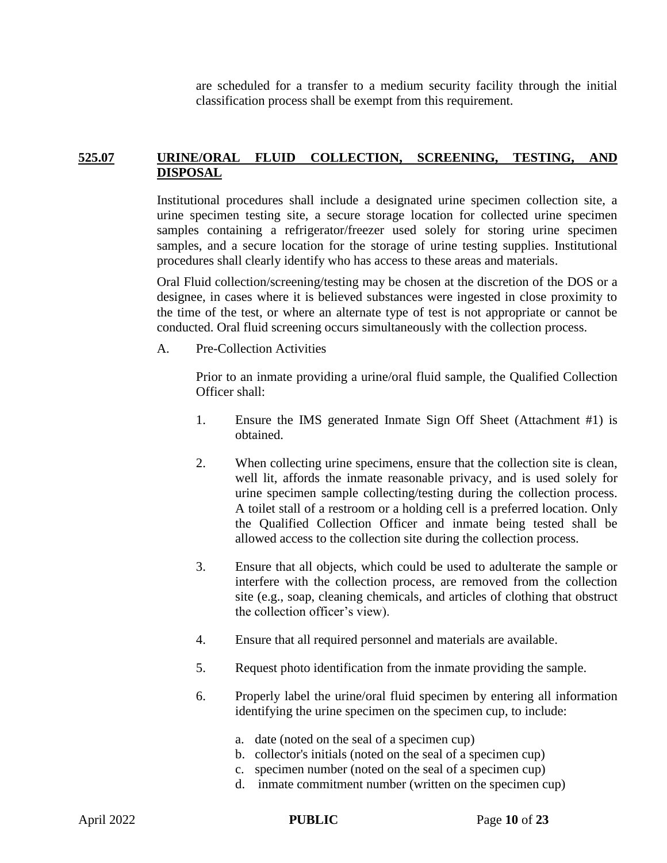are scheduled for a transfer to a medium security facility through the initial classification process shall be exempt from this requirement.

#### **525.07 URINE/ORAL FLUID COLLECTION, SCREENING, TESTING, AND DISPOSAL**

Institutional procedures shall include a designated urine specimen collection site, a urine specimen testing site, a secure storage location for collected urine specimen samples containing a refrigerator/freezer used solely for storing urine specimen samples, and a secure location for the storage of urine testing supplies. Institutional procedures shall clearly identify who has access to these areas and materials.

Oral Fluid collection/screening/testing may be chosen at the discretion of the DOS or a designee, in cases where it is believed substances were ingested in close proximity to the time of the test, or where an alternate type of test is not appropriate or cannot be conducted. Oral fluid screening occurs simultaneously with the collection process.

A. Pre-Collection Activities

Prior to an inmate providing a urine/oral fluid sample, the Qualified Collection Officer shall:

- 1. Ensure the IMS generated Inmate Sign Off Sheet (Attachment #1) is obtained.
- 2. When collecting urine specimens, ensure that the collection site is clean, well lit, affords the inmate reasonable privacy, and is used solely for urine specimen sample collecting/testing during the collection process. A toilet stall of a restroom or a holding cell is a preferred location. Only the Qualified Collection Officer and inmate being tested shall be allowed access to the collection site during the collection process.
- 3. Ensure that all objects, which could be used to adulterate the sample or interfere with the collection process, are removed from the collection site (e.g., soap, cleaning chemicals, and articles of clothing that obstruct the collection officer's view).
- 4. Ensure that all required personnel and materials are available.
- 5. Request photo identification from the inmate providing the sample.
- 6. Properly label the urine/oral fluid specimen by entering all information identifying the urine specimen on the specimen cup, to include:
	- a. date (noted on the seal of a specimen cup)
	- b. collector's initials (noted on the seal of a specimen cup)
	- c. specimen number (noted on the seal of a specimen cup)
	- d. inmate commitment number (written on the specimen cup)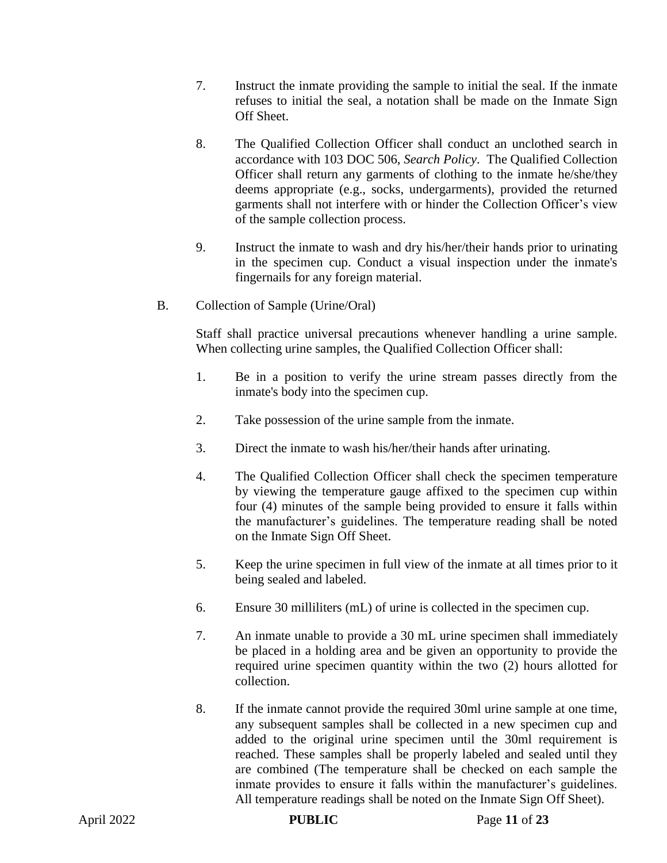- 7. Instruct the inmate providing the sample to initial the seal. If the inmate refuses to initial the seal, a notation shall be made on the Inmate Sign Off Sheet.
- 8. The Qualified Collection Officer shall conduct an unclothed search in accordance with 103 DOC 506, *Search Policy*. The Qualified Collection Officer shall return any garments of clothing to the inmate he/she/they deems appropriate (e.g., socks, undergarments), provided the returned garments shall not interfere with or hinder the Collection Officer's view of the sample collection process.
- 9. Instruct the inmate to wash and dry his/her/their hands prior to urinating in the specimen cup. Conduct a visual inspection under the inmate's fingernails for any foreign material.
- B. Collection of Sample (Urine/Oral)

Staff shall practice universal precautions whenever handling a urine sample. When collecting urine samples, the Qualified Collection Officer shall:

- 1. Be in a position to verify the urine stream passes directly from the inmate's body into the specimen cup.
- 2. Take possession of the urine sample from the inmate.
- 3. Direct the inmate to wash his/her/their hands after urinating.
- 4. The Qualified Collection Officer shall check the specimen temperature by viewing the temperature gauge affixed to the specimen cup within four (4) minutes of the sample being provided to ensure it falls within the manufacturer's guidelines. The temperature reading shall be noted on the Inmate Sign Off Sheet.
- 5. Keep the urine specimen in full view of the inmate at all times prior to it being sealed and labeled.
- 6. Ensure 30 milliliters (mL) of urine is collected in the specimen cup.
- 7. An inmate unable to provide a 30 mL urine specimen shall immediately be placed in a holding area and be given an opportunity to provide the required urine specimen quantity within the two (2) hours allotted for collection.
- 8. If the inmate cannot provide the required 30ml urine sample at one time, any subsequent samples shall be collected in a new specimen cup and added to the original urine specimen until the 30ml requirement is reached. These samples shall be properly labeled and sealed until they are combined (The temperature shall be checked on each sample the inmate provides to ensure it falls within the manufacturer's guidelines. All temperature readings shall be noted on the Inmate Sign Off Sheet).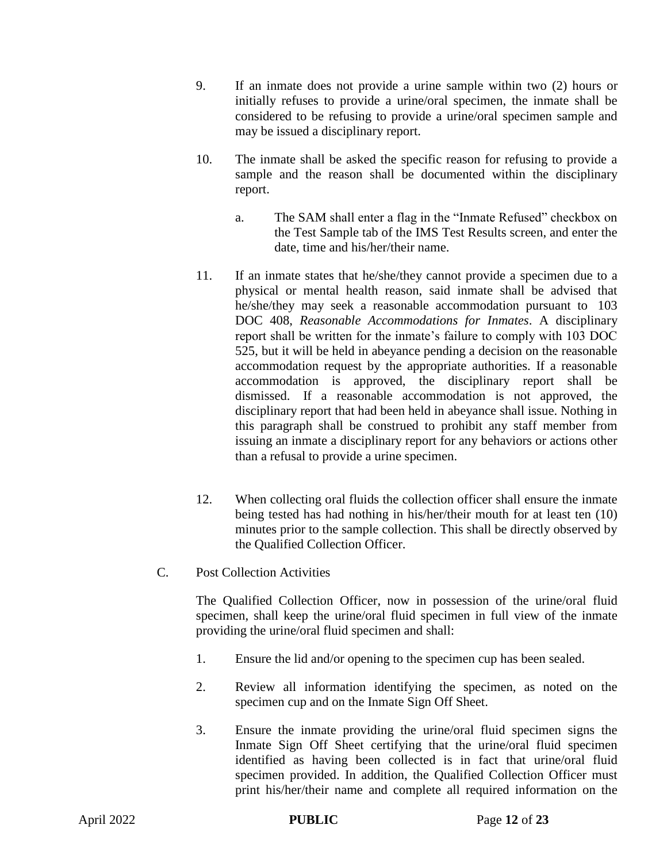- 9. If an inmate does not provide a urine sample within two (2) hours or initially refuses to provide a urine/oral specimen, the inmate shall be considered to be refusing to provide a urine/oral specimen sample and may be issued a disciplinary report.
- 10. The inmate shall be asked the specific reason for refusing to provide a sample and the reason shall be documented within the disciplinary report.
	- a. The SAM shall enter a flag in the "Inmate Refused" checkbox on the Test Sample tab of the IMS Test Results screen, and enter the date, time and his/her/their name.
- 11. If an inmate states that he/she/they cannot provide a specimen due to a physical or mental health reason, said inmate shall be advised that he/she/they may seek a reasonable accommodation pursuant to 103 DOC 408, *Reasonable Accommodations for Inmates*. A disciplinary report shall be written for the inmate's failure to comply with 103 DOC 525, but it will be held in abeyance pending a decision on the reasonable accommodation request by the appropriate authorities. If a reasonable accommodation is approved, the disciplinary report shall be dismissed. If a reasonable accommodation is not approved, the disciplinary report that had been held in abeyance shall issue. Nothing in this paragraph shall be construed to prohibit any staff member from issuing an inmate a disciplinary report for any behaviors or actions other than a refusal to provide a urine specimen.
- 12. When collecting oral fluids the collection officer shall ensure the inmate being tested has had nothing in his/her/their mouth for at least ten (10) minutes prior to the sample collection. This shall be directly observed by the Qualified Collection Officer.
- C. Post Collection Activities

The Qualified Collection Officer, now in possession of the urine/oral fluid specimen, shall keep the urine/oral fluid specimen in full view of the inmate providing the urine/oral fluid specimen and shall:

- 1. Ensure the lid and/or opening to the specimen cup has been sealed.
- 2. Review all information identifying the specimen, as noted on the specimen cup and on the Inmate Sign Off Sheet.
- 3. Ensure the inmate providing the urine/oral fluid specimen signs the Inmate Sign Off Sheet certifying that the urine/oral fluid specimen identified as having been collected is in fact that urine/oral fluid specimen provided. In addition, the Qualified Collection Officer must print his/her/their name and complete all required information on the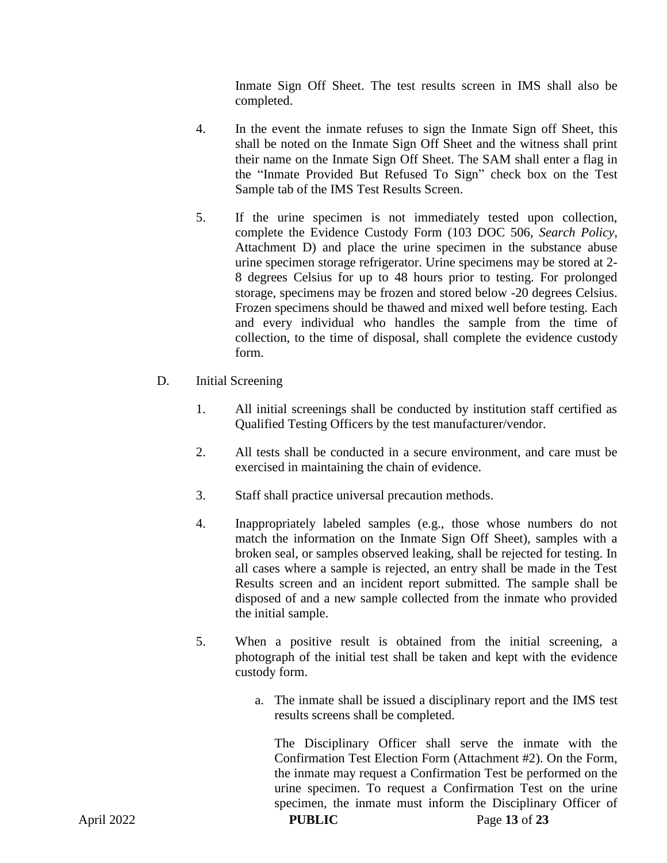Inmate Sign Off Sheet. The test results screen in IMS shall also be completed.

- 4. In the event the inmate refuses to sign the Inmate Sign off Sheet, this shall be noted on the Inmate Sign Off Sheet and the witness shall print their name on the Inmate Sign Off Sheet. The SAM shall enter a flag in the "Inmate Provided But Refused To Sign" check box on the Test Sample tab of the IMS Test Results Screen.
- 5. If the urine specimen is not immediately tested upon collection, complete the Evidence Custody Form (103 DOC 506, *Search Policy,* Attachment D) and place the urine specimen in the substance abuse urine specimen storage refrigerator. Urine specimens may be stored at 2- 8 degrees Celsius for up to 48 hours prior to testing. For prolonged storage, specimens may be frozen and stored below -20 degrees Celsius. Frozen specimens should be thawed and mixed well before testing*.* Each and every individual who handles the sample from the time of collection, to the time of disposal, shall complete the evidence custody form.
- D. Initial Screening
	- 1. All initial screenings shall be conducted by institution staff certified as Qualified Testing Officers by the test manufacturer/vendor.
	- 2. All tests shall be conducted in a secure environment, and care must be exercised in maintaining the chain of evidence.
	- 3. Staff shall practice universal precaution methods.
	- 4. Inappropriately labeled samples (e.g., those whose numbers do not match the information on the Inmate Sign Off Sheet), samples with a broken seal, or samples observed leaking, shall be rejected for testing. In all cases where a sample is rejected, an entry shall be made in the Test Results screen and an incident report submitted. The sample shall be disposed of and a new sample collected from the inmate who provided the initial sample.
	- 5. When a positive result is obtained from the initial screening, a photograph of the initial test shall be taken and kept with the evidence custody form.
		- a. The inmate shall be issued a disciplinary report and the IMS test results screens shall be completed.

The Disciplinary Officer shall serve the inmate with the Confirmation Test Election Form (Attachment #2). On the Form, the inmate may request a Confirmation Test be performed on the urine specimen. To request a Confirmation Test on the urine specimen, the inmate must inform the Disciplinary Officer of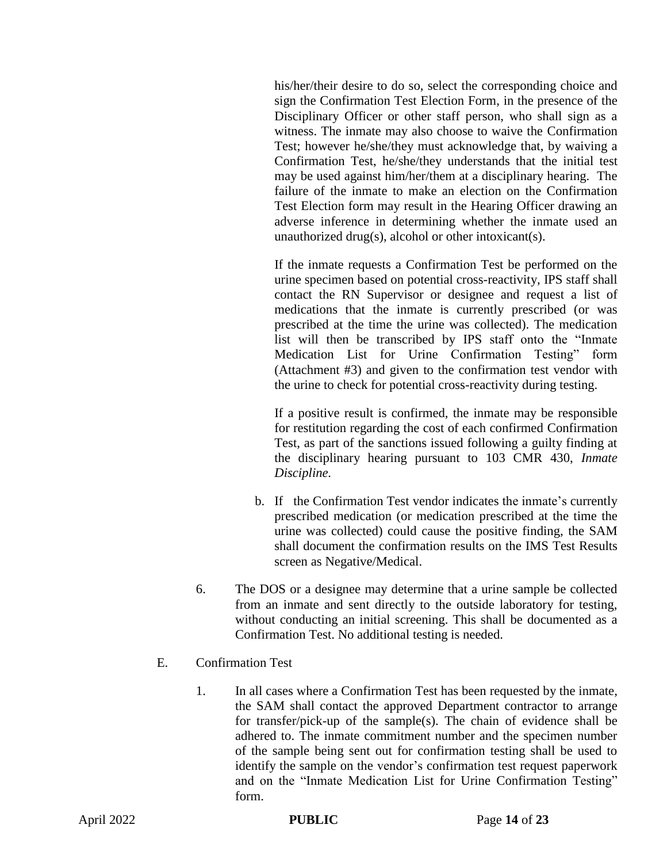his/her/their desire to do so, select the corresponding choice and sign the Confirmation Test Election Form, in the presence of the Disciplinary Officer or other staff person, who shall sign as a witness. The inmate may also choose to waive the Confirmation Test; however he/she/they must acknowledge that, by waiving a Confirmation Test, he/she/they understands that the initial test may be used against him/her/them at a disciplinary hearing. The failure of the inmate to make an election on the Confirmation Test Election form may result in the Hearing Officer drawing an adverse inference in determining whether the inmate used an unauthorized drug(s), alcohol or other intoxicant(s).

If the inmate requests a Confirmation Test be performed on the urine specimen based on potential cross-reactivity, IPS staff shall contact the RN Supervisor or designee and request a list of medications that the inmate is currently prescribed (or was prescribed at the time the urine was collected). The medication list will then be transcribed by IPS staff onto the "Inmate Medication List for Urine Confirmation Testing" form (Attachment #3) and given to the confirmation test vendor with the urine to check for potential cross-reactivity during testing.

If a positive result is confirmed, the inmate may be responsible for restitution regarding the cost of each confirmed Confirmation Test, as part of the sanctions issued following a guilty finding at the disciplinary hearing pursuant to 103 CMR 430, *Inmate Discipline.* 

- b. If the Confirmation Test vendor indicates the inmate's currently prescribed medication (or medication prescribed at the time the urine was collected) could cause the positive finding, the SAM shall document the confirmation results on the IMS Test Results screen as Negative/Medical.
- 6. The DOS or a designee may determine that a urine sample be collected from an inmate and sent directly to the outside laboratory for testing, without conducting an initial screening. This shall be documented as a Confirmation Test. No additional testing is needed.
- E. Confirmation Test
	- 1. In all cases where a Confirmation Test has been requested by the inmate, the SAM shall contact the approved Department contractor to arrange for transfer/pick-up of the sample(s). The chain of evidence shall be adhered to. The inmate commitment number and the specimen number of the sample being sent out for confirmation testing shall be used to identify the sample on the vendor's confirmation test request paperwork and on the "Inmate Medication List for Urine Confirmation Testing" form.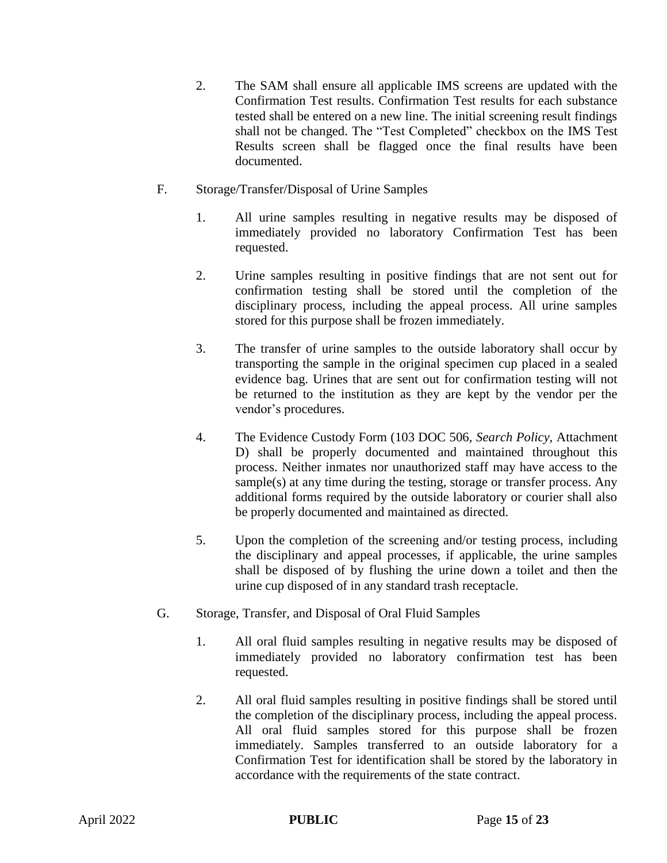- 2. The SAM shall ensure all applicable IMS screens are updated with the Confirmation Test results. Confirmation Test results for each substance tested shall be entered on a new line. The initial screening result findings shall not be changed. The "Test Completed" checkbox on the IMS Test Results screen shall be flagged once the final results have been documented.
- F. Storage/Transfer/Disposal of Urine Samples
	- 1. All urine samples resulting in negative results may be disposed of immediately provided no laboratory Confirmation Test has been requested.
	- 2. Urine samples resulting in positive findings that are not sent out for confirmation testing shall be stored until the completion of the disciplinary process, including the appeal process. All urine samples stored for this purpose shall be frozen immediately.
	- 3. The transfer of urine samples to the outside laboratory shall occur by transporting the sample in the original specimen cup placed in a sealed evidence bag. Urines that are sent out for confirmation testing will not be returned to the institution as they are kept by the vendor per the vendor's procedures.
	- 4. The Evidence Custody Form (103 DOC 506, *Search Policy,* Attachment D) shall be properly documented and maintained throughout this process. Neither inmates nor unauthorized staff may have access to the sample(s) at any time during the testing, storage or transfer process. Any additional forms required by the outside laboratory or courier shall also be properly documented and maintained as directed.
	- 5. Upon the completion of the screening and/or testing process, including the disciplinary and appeal processes, if applicable, the urine samples shall be disposed of by flushing the urine down a toilet and then the urine cup disposed of in any standard trash receptacle.
- G. Storage, Transfer, and Disposal of Oral Fluid Samples
	- 1. All oral fluid samples resulting in negative results may be disposed of immediately provided no laboratory confirmation test has been requested.
	- 2. All oral fluid samples resulting in positive findings shall be stored until the completion of the disciplinary process, including the appeal process. All oral fluid samples stored for this purpose shall be frozen immediately. Samples transferred to an outside laboratory for a Confirmation Test for identification shall be stored by the laboratory in accordance with the requirements of the state contract.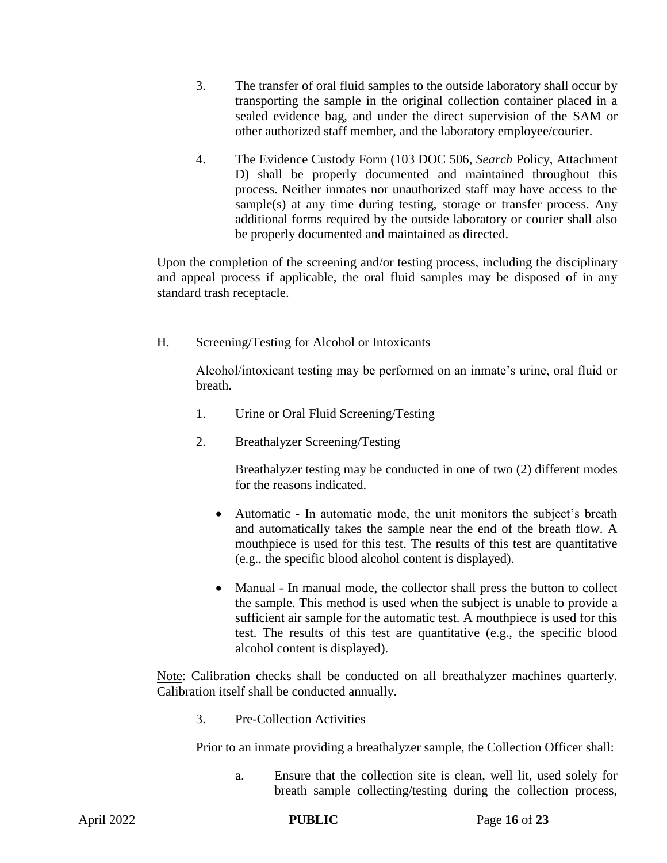- 3. The transfer of oral fluid samples to the outside laboratory shall occur by transporting the sample in the original collection container placed in a sealed evidence bag, and under the direct supervision of the SAM or other authorized staff member, and the laboratory employee/courier.
- 4. The Evidence Custody Form (103 DOC 506, *Search* Policy, Attachment D) shall be properly documented and maintained throughout this process. Neither inmates nor unauthorized staff may have access to the sample(s) at any time during testing, storage or transfer process. Any additional forms required by the outside laboratory or courier shall also be properly documented and maintained as directed.

Upon the completion of the screening and/or testing process, including the disciplinary and appeal process if applicable, the oral fluid samples may be disposed of in any standard trash receptacle.

H. Screening/Testing for Alcohol or Intoxicants

Alcohol/intoxicant testing may be performed on an inmate's urine, oral fluid or breath.

- 1. Urine or Oral Fluid Screening/Testing
- 2. Breathalyzer Screening/Testing

Breathalyzer testing may be conducted in one of two (2) different modes for the reasons indicated.

- Automatic In automatic mode, the unit monitors the subject's breath and automatically takes the sample near the end of the breath flow. A mouthpiece is used for this test. The results of this test are quantitative (e.g., the specific blood alcohol content is displayed).
- Manual In manual mode, the collector shall press the button to collect the sample. This method is used when the subject is unable to provide a sufficient air sample for the automatic test. A mouthpiece is used for this test. The results of this test are quantitative (e.g., the specific blood alcohol content is displayed).

Note: Calibration checks shall be conducted on all breathalyzer machines quarterly. Calibration itself shall be conducted annually.

3. Pre-Collection Activities

Prior to an inmate providing a breathalyzer sample, the Collection Officer shall:

a. Ensure that the collection site is clean, well lit, used solely for breath sample collecting/testing during the collection process,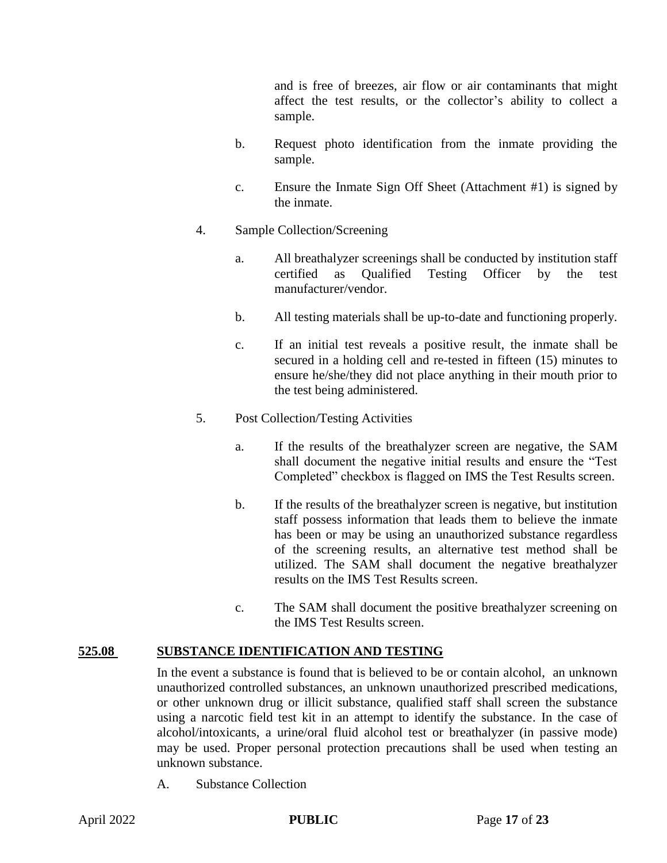and is free of breezes, air flow or air contaminants that might affect the test results, or the collector's ability to collect a sample.

- b. Request photo identification from the inmate providing the sample.
- c. Ensure the Inmate Sign Off Sheet (Attachment #1) is signed by the inmate.
- 4. Sample Collection/Screening
	- a. All breathalyzer screenings shall be conducted by institution staff certified as Qualified Testing Officer by the test manufacturer/vendor.
	- b. All testing materials shall be up-to-date and functioning properly.
	- c. If an initial test reveals a positive result, the inmate shall be secured in a holding cell and re-tested in fifteen (15) minutes to ensure he/she/they did not place anything in their mouth prior to the test being administered.
- 5. Post Collection/Testing Activities
	- a. If the results of the breathalyzer screen are negative, the SAM shall document the negative initial results and ensure the "Test Completed" checkbox is flagged on IMS the Test Results screen.
	- b. If the results of the breathalyzer screen is negative, but institution staff possess information that leads them to believe the inmate has been or may be using an unauthorized substance regardless of the screening results, an alternative test method shall be utilized. The SAM shall document the negative breathalyzer results on the IMS Test Results screen.
	- c. The SAM shall document the positive breathalyzer screening on the IMS Test Results screen.

#### **525.08 SUBSTANCE IDENTIFICATION AND TESTING**

In the event a substance is found that is believed to be or contain alcohol, an unknown unauthorized controlled substances, an unknown unauthorized prescribed medications, or other unknown drug or illicit substance, qualified staff shall screen the substance using a narcotic field test kit in an attempt to identify the substance. In the case of alcohol/intoxicants, a urine/oral fluid alcohol test or breathalyzer (in passive mode) may be used. Proper personal protection precautions shall be used when testing an unknown substance.

A. Substance Collection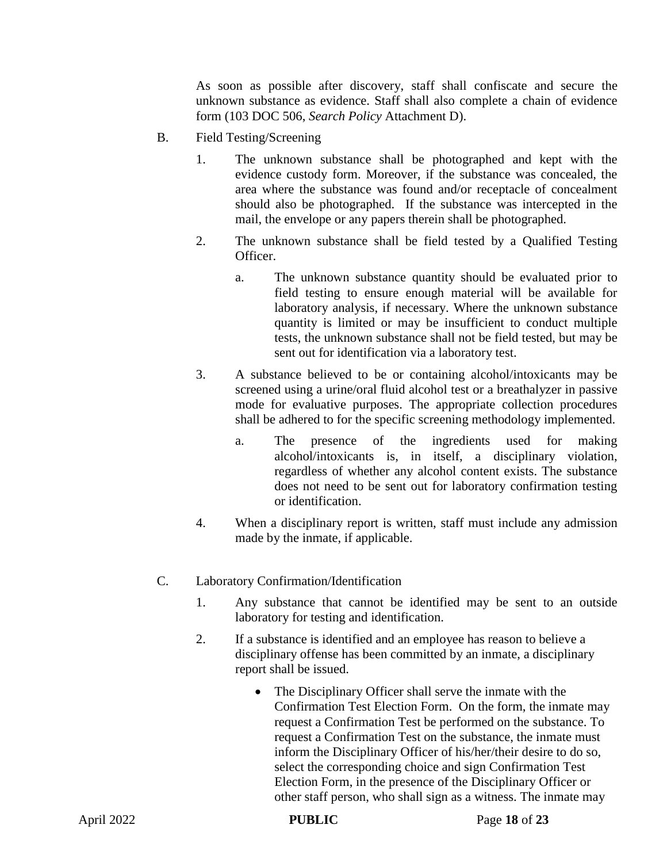As soon as possible after discovery, staff shall confiscate and secure the unknown substance as evidence. Staff shall also complete a chain of evidence form (103 DOC 506, *Search Policy* Attachment D).

- B. Field Testing/Screening
	- 1. The unknown substance shall be photographed and kept with the evidence custody form. Moreover, if the substance was concealed, the area where the substance was found and/or receptacle of concealment should also be photographed. If the substance was intercepted in the mail, the envelope or any papers therein shall be photographed.
	- 2. The unknown substance shall be field tested by a Qualified Testing Officer.
		- a. The unknown substance quantity should be evaluated prior to field testing to ensure enough material will be available for laboratory analysis, if necessary. Where the unknown substance quantity is limited or may be insufficient to conduct multiple tests, the unknown substance shall not be field tested, but may be sent out for identification via a laboratory test.
	- 3. A substance believed to be or containing alcohol/intoxicants may be screened using a urine/oral fluid alcohol test or a breathalyzer in passive mode for evaluative purposes. The appropriate collection procedures shall be adhered to for the specific screening methodology implemented.
		- a. The presence of the ingredients used for making alcohol/intoxicants is, in itself, a disciplinary violation, regardless of whether any alcohol content exists. The substance does not need to be sent out for laboratory confirmation testing or identification.
	- 4. When a disciplinary report is written, staff must include any admission made by the inmate, if applicable.
- C. Laboratory Confirmation/Identification
	- 1. Any substance that cannot be identified may be sent to an outside laboratory for testing and identification.
	- 2. If a substance is identified and an employee has reason to believe a disciplinary offense has been committed by an inmate, a disciplinary report shall be issued.
		- The Disciplinary Officer shall serve the inmate with the Confirmation Test Election Form. On the form, the inmate may request a Confirmation Test be performed on the substance. To request a Confirmation Test on the substance, the inmate must inform the Disciplinary Officer of his/her/their desire to do so, select the corresponding choice and sign Confirmation Test Election Form, in the presence of the Disciplinary Officer or other staff person, who shall sign as a witness. The inmate may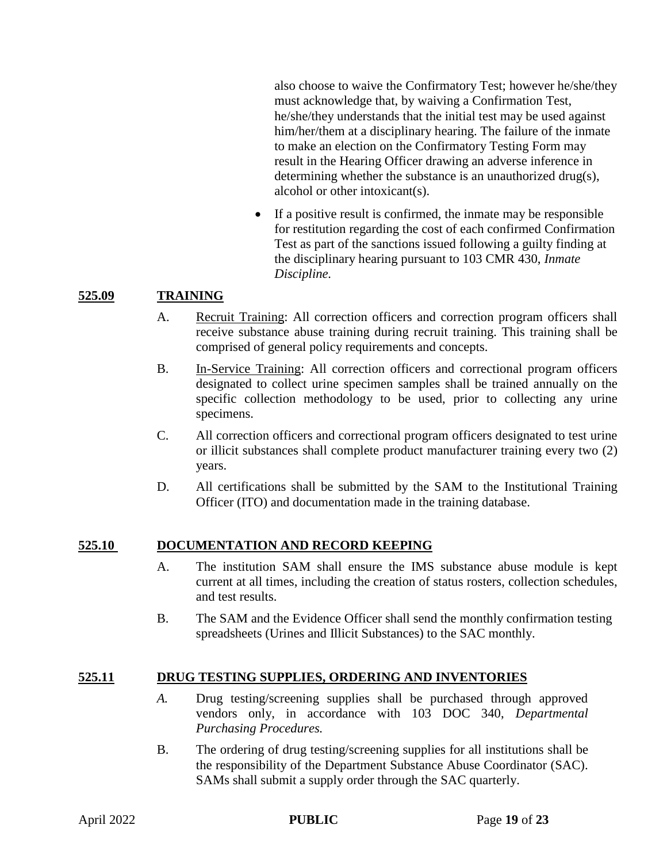also choose to waive the Confirmatory Test; however he/she/they must acknowledge that, by waiving a Confirmation Test, he/she/they understands that the initial test may be used against him/her/them at a disciplinary hearing. The failure of the inmate to make an election on the Confirmatory Testing Form may result in the Hearing Officer drawing an adverse inference in determining whether the substance is an unauthorized drug(s), alcohol or other intoxicant(s).

 If a positive result is confirmed, the inmate may be responsible for restitution regarding the cost of each confirmed Confirmation Test as part of the sanctions issued following a guilty finding at the disciplinary hearing pursuant to 103 CMR 430, *Inmate Discipline.*

#### **525.09 TRAINING**

- A. Recruit Training: All correction officers and correction program officers shall receive substance abuse training during recruit training. This training shall be comprised of general policy requirements and concepts.
- B. In-Service Training: All correction officers and correctional program officers designated to collect urine specimen samples shall be trained annually on the specific collection methodology to be used, prior to collecting any urine specimens.
- C. All correction officers and correctional program officers designated to test urine or illicit substances shall complete product manufacturer training every two (2) years.
- D. All certifications shall be submitted by the SAM to the Institutional Training Officer (ITO) and documentation made in the training database.

#### **525.10 DOCUMENTATION AND RECORD KEEPING**

- A. The institution SAM shall ensure the IMS substance abuse module is kept current at all times, including the creation of status rosters, collection schedules, and test results.
- B. The SAM and the Evidence Officer shall send the monthly confirmation testing spreadsheets (Urines and Illicit Substances) to the SAC monthly.

## **525.11 DRUG TESTING SUPPLIES, ORDERING AND INVENTORIES**

- *A.* Drug testing/screening supplies shall be purchased through approved vendors only, in accordance with 103 DOC 340, *Departmental Purchasing Procedures.*
- B. The ordering of drug testing/screening supplies for all institutions shall be the responsibility of the Department Substance Abuse Coordinator (SAC). SAMs shall submit a supply order through the SAC quarterly.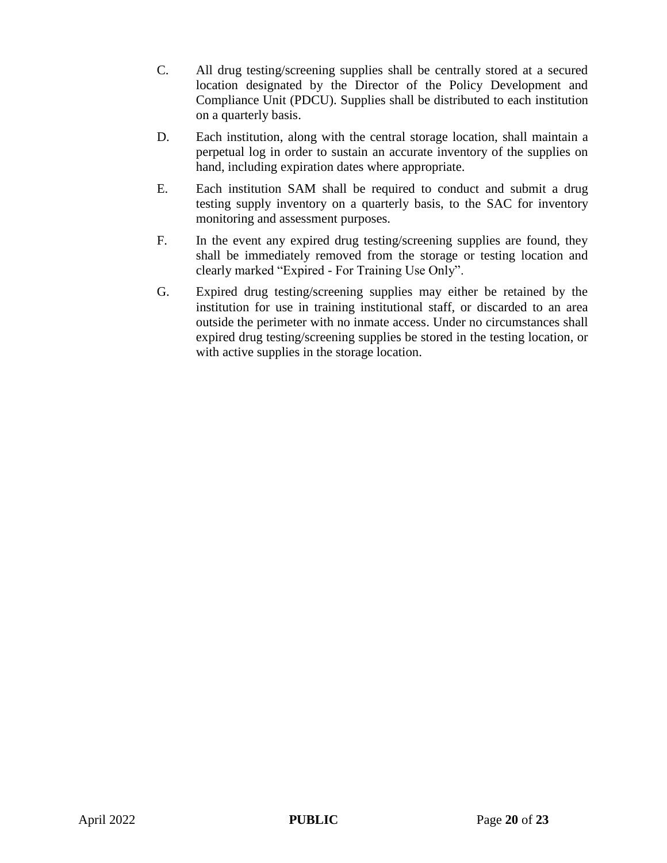- C. All drug testing/screening supplies shall be centrally stored at a secured location designated by the Director of the Policy Development and Compliance Unit (PDCU). Supplies shall be distributed to each institution on a quarterly basis.
- D. Each institution, along with the central storage location, shall maintain a perpetual log in order to sustain an accurate inventory of the supplies on hand, including expiration dates where appropriate.
- E. Each institution SAM shall be required to conduct and submit a drug testing supply inventory on a quarterly basis, to the SAC for inventory monitoring and assessment purposes.
- F. In the event any expired drug testing/screening supplies are found, they shall be immediately removed from the storage or testing location and clearly marked "Expired - For Training Use Only".
- G. Expired drug testing/screening supplies may either be retained by the institution for use in training institutional staff, or discarded to an area outside the perimeter with no inmate access. Under no circumstances shall expired drug testing/screening supplies be stored in the testing location, or with active supplies in the storage location.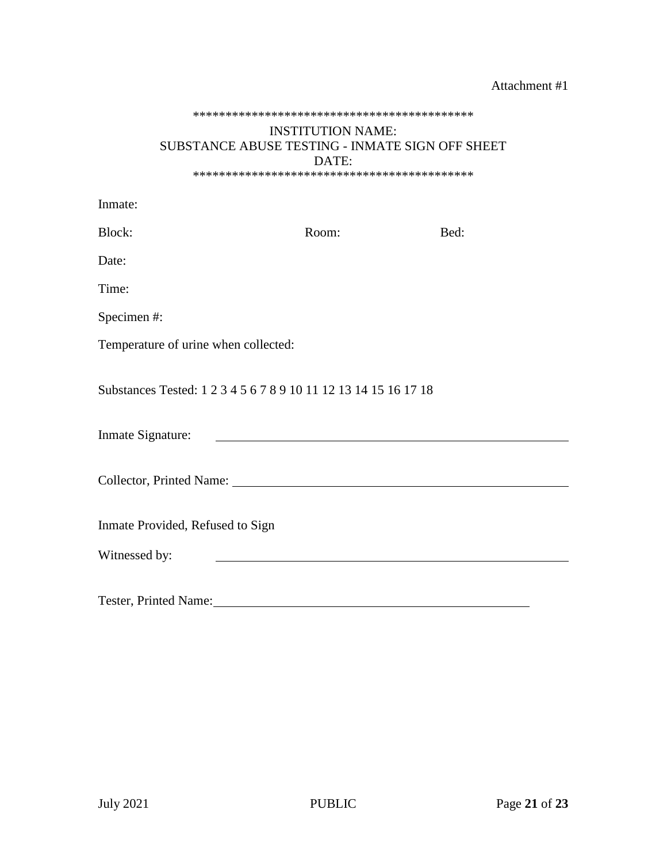#### Attachment #1

#### \*\*\*\*\*\*\*\*\*\*\*\*\*\*\*\*\*\*\*\*\*\*\*\*\*\*\*\*\*\*\*\*\*\*\*\*\*\*\*\*\*\*\*

#### INSTITUTION NAME: SUBSTANCE ABUSE TESTING - INMATE SIGN OFF SHEET DATE: \*\*\*\*\*\*\*\*\*\*\*\*\*\*\*\*\*\*\*\*\*\*\*\*\*\*\*\*\*\*\*\*\*\*\*\*\*\*\*\*\*\*\*

| Inmate:                                                            |                                                                                                                      |      |  |  |  |
|--------------------------------------------------------------------|----------------------------------------------------------------------------------------------------------------------|------|--|--|--|
| Block:                                                             | Room:                                                                                                                | Bed: |  |  |  |
| Date:                                                              |                                                                                                                      |      |  |  |  |
| Time:                                                              |                                                                                                                      |      |  |  |  |
| Specimen#:                                                         |                                                                                                                      |      |  |  |  |
| Temperature of urine when collected:                               |                                                                                                                      |      |  |  |  |
| Substances Tested: 1 2 3 4 5 6 7 8 9 10 11 12 13 14 15 16 17 18    |                                                                                                                      |      |  |  |  |
| Inmate Signature:                                                  | <u> Alexandria de la contrada de la contrada de la contrada de la contrada de la contrada de la contrada de la c</u> |      |  |  |  |
| Collector, Printed Name: 2008. [2016] The Collector, Printed Name: |                                                                                                                      |      |  |  |  |
| Inmate Provided, Refused to Sign                                   |                                                                                                                      |      |  |  |  |
| Witnessed by:                                                      |                                                                                                                      |      |  |  |  |
| Tester, Printed Name:                                              |                                                                                                                      |      |  |  |  |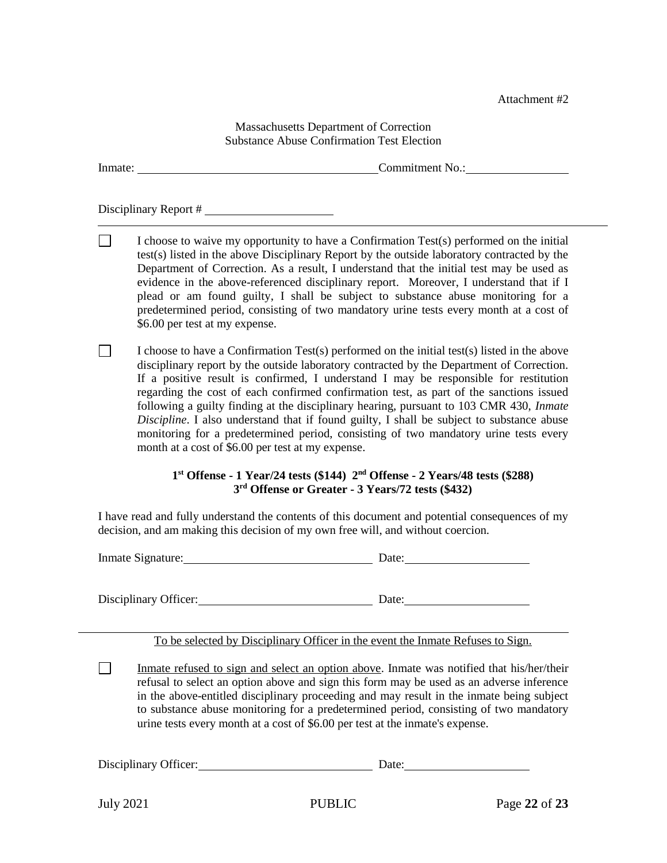Attachment #2

Massachusetts Department of Correction Substance Abuse Confirmation Test Election

Inmate: Commitment No.:

Disciplinary Report #

 $\Box$ I choose to waive my opportunity to have a Confirmation Test(s) performed on the initial test(s) listed in the above Disciplinary Report by the outside laboratory contracted by the Department of Correction. As a result, I understand that the initial test may be used as evidence in the above-referenced disciplinary report. Moreover, I understand that if I plead or am found guilty, I shall be subject to substance abuse monitoring for a predetermined period, consisting of two mandatory urine tests every month at a cost of \$6.00 per test at my expense.

 $\Box$ I choose to have a Confirmation Test(s) performed on the initial test(s) listed in the above disciplinary report by the outside laboratory contracted by the Department of Correction. If a positive result is confirmed, I understand I may be responsible for restitution regarding the cost of each confirmed confirmation test, as part of the sanctions issued following a guilty finding at the disciplinary hearing, pursuant to 103 CMR 430, *Inmate Discipline*. I also understand that if found guilty, I shall be subject to substance abuse monitoring for a predetermined period, consisting of two mandatory urine tests every month at a cost of \$6.00 per test at my expense.

#### **1 st Offense - 1 Year/24 tests (\$144) 2nd Offense - 2 Years/48 tests (\$288) 3 rd Offense or Greater - 3 Years/72 tests (\$432)**

I have read and fully understand the contents of this document and potential consequences of my decision, and am making this decision of my own free will, and without coercion.

Inmate Signature: Date: Date:

Disciplinary Officer: Disciplinary Officer:

To be selected by Disciplinary Officer in the event the Inmate Refuses to Sign.

l

 $\Box$ Inmate refused to sign and select an option above. Inmate was notified that his/her/their refusal to select an option above and sign this form may be used as an adverse inference in the above-entitled disciplinary proceeding and may result in the inmate being subject to substance abuse monitoring for a predetermined period, consisting of two mandatory urine tests every month at a cost of \$6.00 per test at the inmate's expense.

Disciplinary Officer: Disciplinary Officer: